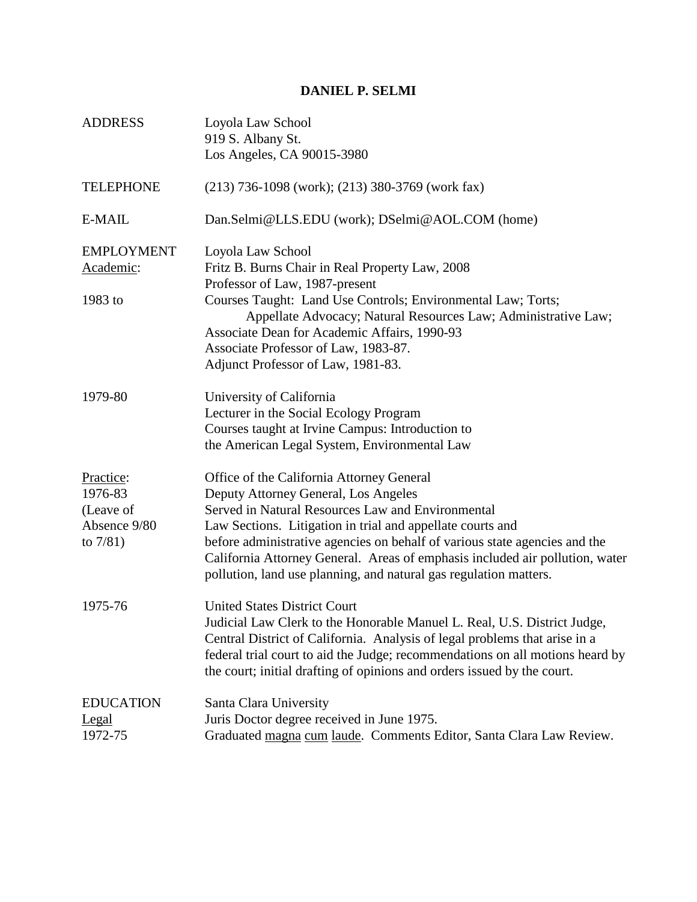## **DANIEL P. SELMI**

| <b>ADDRESS</b>                                                   | Loyola Law School<br>919 S. Albany St.<br>Los Angeles, CA 90015-3980                                                                                                                                                                                                                                                                                                                                                                    |
|------------------------------------------------------------------|-----------------------------------------------------------------------------------------------------------------------------------------------------------------------------------------------------------------------------------------------------------------------------------------------------------------------------------------------------------------------------------------------------------------------------------------|
| <b>TELEPHONE</b>                                                 | $(213)$ 736-1098 (work); (213) 380-3769 (work fax)                                                                                                                                                                                                                                                                                                                                                                                      |
| E-MAIL                                                           | Dan.Selmi@LLS.EDU (work); DSelmi@AOL.COM (home)                                                                                                                                                                                                                                                                                                                                                                                         |
| <b>EMPLOYMENT</b><br>Academic:<br>1983 to                        | Loyola Law School<br>Fritz B. Burns Chair in Real Property Law, 2008<br>Professor of Law, 1987-present<br>Courses Taught: Land Use Controls; Environmental Law; Torts;<br>Appellate Advocacy; Natural Resources Law; Administrative Law;<br>Associate Dean for Academic Affairs, 1990-93<br>Associate Professor of Law, 1983-87.<br>Adjunct Professor of Law, 1981-83.                                                                  |
| 1979-80                                                          | University of California<br>Lecturer in the Social Ecology Program<br>Courses taught at Irvine Campus: Introduction to<br>the American Legal System, Environmental Law                                                                                                                                                                                                                                                                  |
| Practice:<br>1976-83<br>(Leave of<br>Absence 9/80<br>to $7/81$ ) | Office of the California Attorney General<br>Deputy Attorney General, Los Angeles<br>Served in Natural Resources Law and Environmental<br>Law Sections. Litigation in trial and appellate courts and<br>before administrative agencies on behalf of various state agencies and the<br>California Attorney General. Areas of emphasis included air pollution, water<br>pollution, land use planning, and natural gas regulation matters. |
| 1975-76                                                          | <b>United States District Court</b><br>Judicial Law Clerk to the Honorable Manuel L. Real, U.S. District Judge,<br>Central District of California. Analysis of legal problems that arise in a<br>federal trial court to aid the Judge; recommendations on all motions heard by<br>the court; initial drafting of opinions and orders issued by the court.                                                                               |
| <b>EDUCATION</b><br><u>Legal</u><br>1972-75                      | Santa Clara University<br>Juris Doctor degree received in June 1975.<br>Graduated magna cum laude. Comments Editor, Santa Clara Law Review.                                                                                                                                                                                                                                                                                             |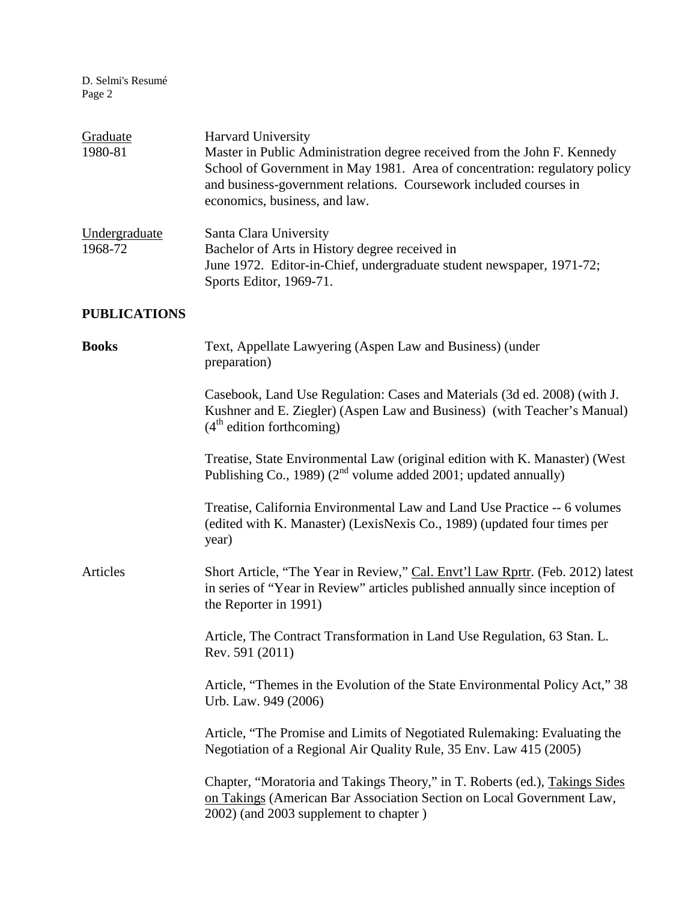D. Selmi's Resumé Page 2

| Graduate<br>1980-81      | <b>Harvard University</b><br>Master in Public Administration degree received from the John F. Kennedy<br>School of Government in May 1981. Area of concentration: regulatory policy<br>and business-government relations. Coursework included courses in<br>economics, business, and law. |
|--------------------------|-------------------------------------------------------------------------------------------------------------------------------------------------------------------------------------------------------------------------------------------------------------------------------------------|
| Undergraduate<br>1968-72 | Santa Clara University<br>Bachelor of Arts in History degree received in<br>June 1972. Editor-in-Chief, undergraduate student newspaper, 1971-72;<br>Sports Editor, 1969-71.                                                                                                              |
| <b>PUBLICATIONS</b>      |                                                                                                                                                                                                                                                                                           |
| <b>Books</b>             | Text, Appellate Lawyering (Aspen Law and Business) (under<br>preparation)                                                                                                                                                                                                                 |
|                          | Casebook, Land Use Regulation: Cases and Materials (3d ed. 2008) (with J.<br>Kushner and E. Ziegler) (Aspen Law and Business) (with Teacher's Manual)<br>$(4th$ edition forthcoming)                                                                                                      |
|                          | Treatise, State Environmental Law (original edition with K. Manaster) (West<br>Publishing Co., 1989) ( $2^{nd}$ volume added 2001; updated annually)                                                                                                                                      |
|                          | Treatise, California Environmental Law and Land Use Practice -- 6 volumes<br>(edited with K. Manaster) (LexisNexis Co., 1989) (updated four times per<br>year)                                                                                                                            |
| Articles                 | Short Article, "The Year in Review," Cal. Envt'l Law Rprtr. (Feb. 2012) latest<br>in series of "Year in Review" articles published annually since inception of<br>the Reporter in 1991)                                                                                                   |
|                          | Article, The Contract Transformation in Land Use Regulation, 63 Stan. L.<br>Rev. 591 (2011)                                                                                                                                                                                               |
|                          | Article, "Themes in the Evolution of the State Environmental Policy Act," 38<br>Urb. Law. 949 (2006)                                                                                                                                                                                      |
|                          | Article, "The Promise and Limits of Negotiated Rulemaking: Evaluating the<br>Negotiation of a Regional Air Quality Rule, 35 Env. Law 415 (2005)                                                                                                                                           |
|                          | Chapter, "Moratoria and Takings Theory," in T. Roberts (ed.), Takings Sides<br>on Takings (American Bar Association Section on Local Government Law,<br>2002) (and 2003 supplement to chapter)                                                                                            |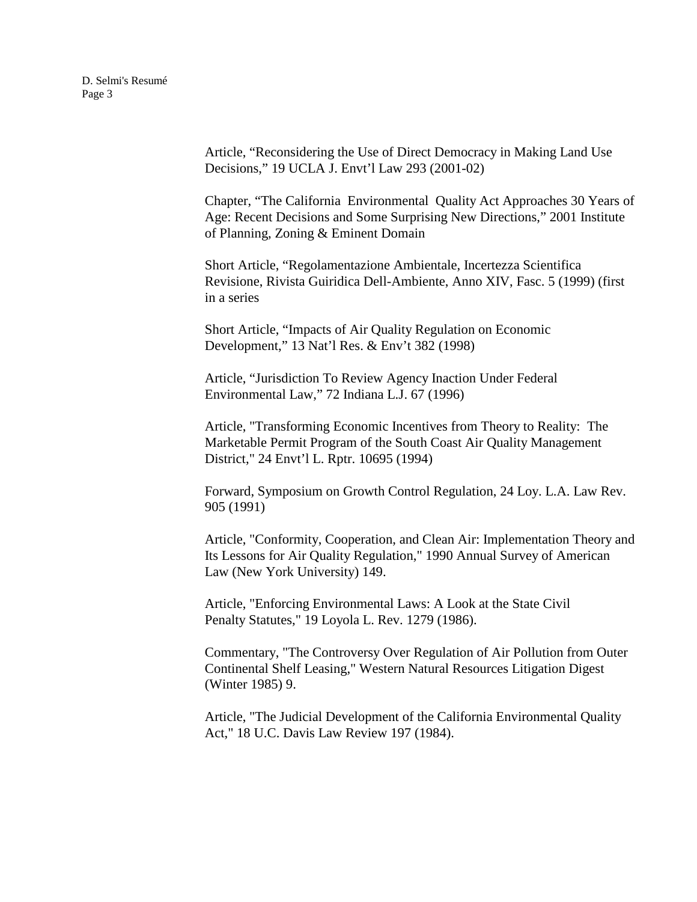Article, "Reconsidering the Use of Direct Democracy in Making Land Use Decisions," 19 UCLA J. Envt'l Law 293 (2001-02)

Chapter, "The California Environmental Quality Act Approaches 30 Years of Age: Recent Decisions and Some Surprising New Directions," 2001 Institute of Planning, Zoning & Eminent Domain

Short Article, "Regolamentazione Ambientale, Incertezza Scientifica Revisione, Rivista Guiridica Dell-Ambiente, Anno XIV, Fasc. 5 (1999) (first in a series

Short Article, "Impacts of Air Quality Regulation on Economic Development," 13 Nat'l Res. & Env't 382 (1998)

Article, "Jurisdiction To Review Agency Inaction Under Federal Environmental Law," 72 Indiana L.J. 67 (1996)

Article, "Transforming Economic Incentives from Theory to Reality: The Marketable Permit Program of the South Coast Air Quality Management District," 24 Envt'l L. Rptr. 10695 (1994)

Forward, Symposium on Growth Control Regulation, 24 Loy. L.A. Law Rev. 905 (1991)

Article, "Conformity, Cooperation, and Clean Air: Implementation Theory and Its Lessons for Air Quality Regulation," 1990 Annual Survey of American Law (New York University) 149.

Article, "Enforcing Environmental Laws: A Look at the State Civil Penalty Statutes," 19 Loyola L. Rev. 1279 (1986).

Commentary, "The Controversy Over Regulation of Air Pollution from Outer Continental Shelf Leasing," Western Natural Resources Litigation Digest (Winter 1985) 9.

Article, "The Judicial Development of the California Environmental Quality Act," 18 U.C. Davis Law Review 197 (1984).